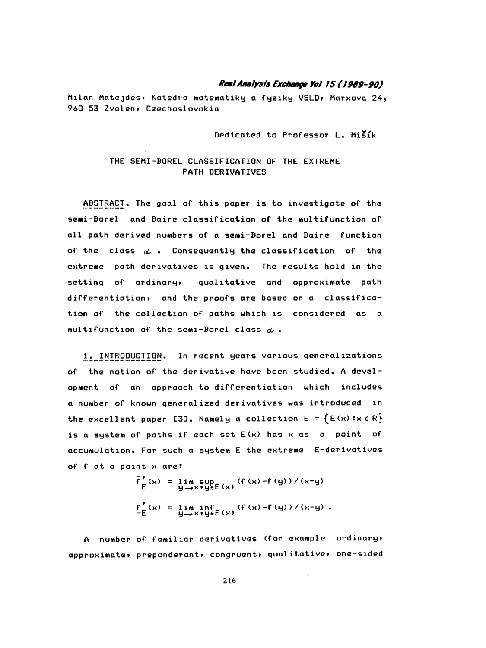#### Real Analysis Exchange Yol 15 (1989-90)

Milan Matejdes, Katedra matematiky a fyziky VSLD, Marxova 24, 960 53 Zvolen, Czechoslovakia

Dedicated to Professor L. Mišík

#### THE SEMI-BOREL CLASSIFICATION OF THE EXTREME **PATH DERIVATIVES**

ABSTRACT. The goal of this paper is to investigate of the semi-Borel and Baire classification of the multifunction of all path derived numbers of a semi-Borel and Baire function of the class  $\alpha$ . Consequently the classification of the extreme path derivatives is given. The results hold in the setting of ordinary, qualitative and opproximate path differentiation, and the proofs are based on a classification of the collection of paths which is considered as a multifunction of the semi-Borel class  $\alpha$ .

1. INTRODUCTION. In recent years various generalizations of the notion of the derivative have been studied. A development of an approach to differentiation which includes a number of known generalized derivatives was introduced in the excellent paper [3]. Namely a collection  $E = \{E(x) : x \in R\}$ is a system of paths if each set E(x) has x as a point of accumulation. For such a system E the extreme E-derivatives of f at a point x are:

$$
\overline{f}_E^{\prime}(x) = \lim_{y \to x} \sup_{y \in E(x)} (f(x) - f(y)) / (x-y)
$$
  

$$
\underline{f}_E^{\prime}(x) = \lim_{y \to x} \inf_{y \in E(x)} (f(x) - f(y)) / (x-y).
$$

A number of familiar derivatives (for example ordinary, approximate, preponderant, congruent, qualitative, one-sided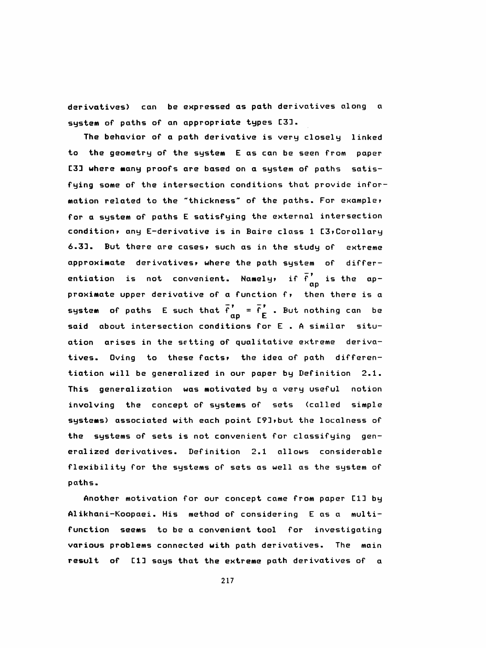derivatives) can be expressed as path derivatives along a system of paths of an appropriate types C33.

 The behavior of a path derivative is very closely linked to the geometry of the system E as can be seen from paper C33 where many proofs are based on a system of paths satis fying some of the intersection conditions that provide infor mation related to the "thickness" of the paths. For example» for a system of paths E satisfying the external intersection condition» any E-derivative is in Baire class 1 C3»Corollary 6.33. But there are cases» such as in the study of extreme approximate derivatives» where the path system of differ entiation is not convenient. Namely, if  $\bar{f}'$  is the ap proximate upper derivative of a function f» then there is a system of paths E such that  $f' = f'$  . But nothing can be said about intersection conditions for E . A similar situ ation arises in the setting of qualitative extreme deriva tives. Oving to these facts» the idea of path differen tiation will be generalized in our paper by Definition 2.1. This generalization was motivated by a very useful notion involving the concept of systems of sets (called simple systems) associated with each point C9D»but the localness of the systems of sets is not convenient for classifying gen eralized derivatives. Definition 2.1 allows considerable flexibility for the systems of sets as well as the system of paths.

 Another motivation for our concept came from paper C13 by Alikhani-Koopaei . His method of considering E as a multi function seems to be a convenient tool for investigating various problems connected with path derivatives. The main result of CID says that the extreme path derivatives of a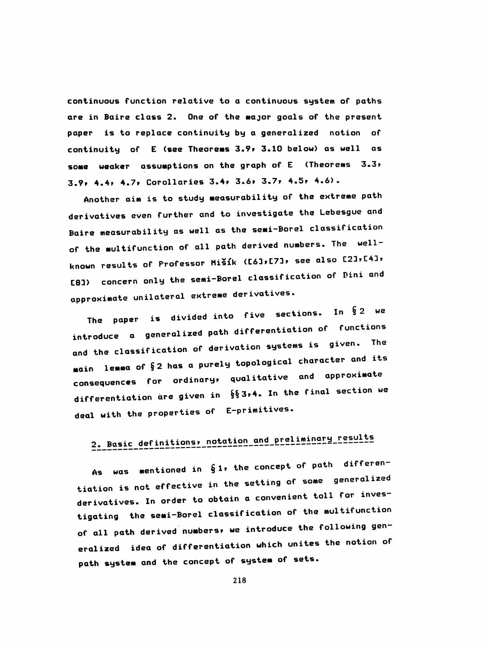continuous function relative to a continuous system of paths are in Baire class 2. One of the major goals of the present paper is to replace continuity by a generalized notion of continuity of E (see Theorems 3.9» 3.10 below) as well as some weaker assumptions on the graph of E (Theorems 3-3? 3.9» 4.4» 4.7» Corollaries 3.4» 3.6» 3.7» 4.5» 4.6).

 Another aim is to study measurability of the extreme path derivatives even further and to investigate the Lebesgue and Baire measurabil ity as well as the semi-Borel classification of the multifunction of all path derived numbers. The well known results of Professor Mišík (C61, C71, see also C21, C41, [8]) concern only the semi-Borel classification of Pini and approximate unilateral extreme derivatives.

The paper is divided into five sections. In  $\S$  2 we introduce a generalized path differentiation of functions and the classification of derivation systems is given. The main lemma of §2 has a purely topological character and its consequences for ordinary, qualitative and approximate differentiation are given in  $\S$ § 3,4. In the final section we deal with the properties of E-primitives.

# 2. Basic definitions, notation and preliminary results

As was mentioned in  $61$ , the concept of path differentiation is not effective in the setting of some generalized derivatives. In order to obtain a convenient toll for inves tigating the semi-Borel classification of the multifunction of all path derived numbers» we introduce the following gen eralized idea of differentiation which unites the notion of path system and the concept of system of sets.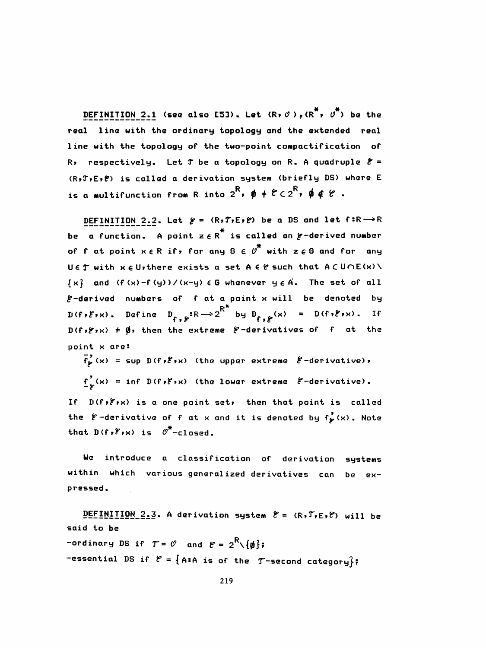DEFINITION 2.1 (see also [5]). Let  $(R, \emptyset)$ ,  $(R^*, \emptyset^*)$  be the real line with the ordinary topology and the extended real line with the topology of the two-point compactification of R, respectively. Let  $T$  be a topology on R. A quadruple  $\mathcal{E} =$ (R,T,E,P) is called a derivation system (briefly DS) where E is a multifunction from R into  $2^R$ ,  $\phi \neq \mathcal{C} \subset 2^R$ ,  $\phi \notin \mathcal{C}$ .

DEFINITION 2.2. Let  $f = (R, T, E, f)$  be a DS and let  $f: R \rightarrow R$ be a function. A point  $z \in R^*$  is called an  $\cancel{e}$ -derived number of f at point  $x \in R$  if, for any  $G \in \mathcal{O}^*$  with  $z \in G$  and for any UET with  $x \in U$ , there exists a set  $A \in \mathcal{C}$  such that  $A \subset U \cap E(x) \setminus$  $\{x\}$  and  $(f(x)-f(y))$ /  $(x-y)$   $\in$  G whenever  $y \in A$ . The set of all E-derived numbers of f at a point x will be denoted by  $D(f, \mathcal{E}_{1}x)$ . Define  $D_{f, \mathcal{E}}: R \longrightarrow 2^{R^*}$  by  $D_{f, \mathcal{E}}(x) = D(f, \mathcal{E}_{1}x)$ . If  $D(f \cdot f \cdot x)$   $\neq \emptyset$ , then the extreme  $f$ -derivatives of f at the point x are:

 $\overline{f}_{\rho}^{*}(x)$  = sup D(f,  $\overline{\epsilon}_{Y}x$ ) (the upper extreme  $\ell$ -derivative),  $\underline{f}'_{\epsilon}(x) = \inf D(f, \xi, x)$  (the lower extreme  $\xi$ -derivative).

If D(f, E,x) is a one point set, then that point is called the  $\ell$ -derivative of f at x and it is denoted by  $f'_{\ell}(x)$ . Note that  $D(f, f, k)$  is  $\varnothing^*$ -closed.

We introduce a classification of derivation systems within which various generalized derivatives can be expressed.

DEFINITION 2.3. A derivation system  $\mathcal{E} = (R, T, \varepsilon, \ell)$  will be said to be -ordinary DS if  $T = \emptyset$  and  $\emptyset = 2^R \setminus \{\emptyset\}$ ; -essential DS if  $\ell = \{A : A \text{ is of the } T \text{-second category}\};$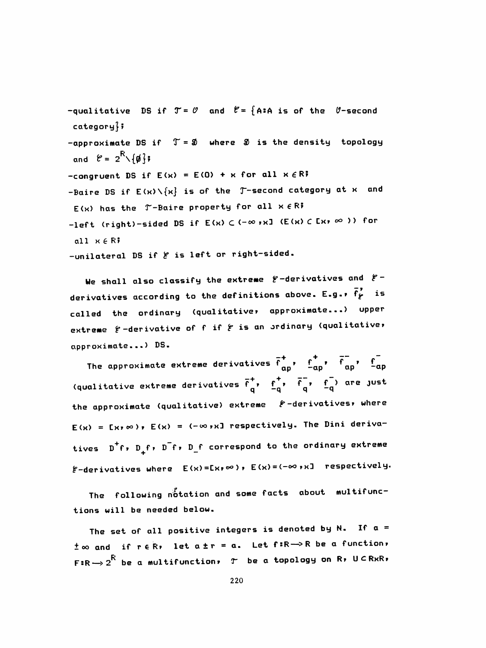-qualitative DS if  $T = \emptyset$  and  $\emptyset = \{A : A \text{ is of the } \emptyset\}$ -second  $category$ -approximate DS if  $T = 20$  where 2 is the density topology and  $\mathcal{C} = 2^{\mathsf{R}} \setminus \{\boldsymbol{\phi}\}\,;$ -congruent DS if  $E(x) = E(0) + x$  for all  $x \in R$ ? -Baire DS if  $E(x) \setminus \{x\}$  is of the  $T$ -second category at x and  $E(x)$  has the  $T-\text{Baire property for all } x \in \mathbb{R}$ -left (right)-sided DS if  $E(x) \subset (-\infty, x]$  (E(x)  $C E(x) \subset \infty$ )) for all  $x \in \mathbb{R}$ -unilateral DS if & is left or right-sided.

We shall also classify the extreme  $e$ -derivatives and  $e$ derivatives according to the definitions above. E.g.,  $\vec{f}_{\ell}^{\prime}$  is called the ordinary (qualitative, approximate...) upper extreme  $f$ -derivative of f if  $f$  is an ordinary (qualitative, approximate...) DS.

The approximate extreme derivatives  $\overline{f}_{\alpha p}^+$ ,  $f_{\alpha p}^+$ ,  $\overline{f}_{\alpha p}^-$ ,  $f_{\alpha p}^-$ (qualitative extreme derivatives  $\overline{f}_{a}^{+}$ ,  $f_{-a}^{+}$ ,  $\overline{f}_{a}^{-}$ ,  $f_{-a}^{-}$ ) are just the approximate (qualitative) extreme  $F$ -derivatives, where  $E(x) = E(x, \infty)$ ,  $E(x) = (-\infty, x]$  respectively. The Dini derivatives D<sup>+</sup>f, D<sub>+</sub>f, D<sup>-</sup>f, D<sub>-</sub>f correspond to the ordinary extreme  $E-d$ erivatives where  $E(x) = E(x) \approx 0$ ,  $E(x) = (-\infty, x]$  respectively.

The following notation and some facts about multifunctions will be needed below.

The set of all positive integers is denoted by N. If  $a =$  $\pm \infty$  and if refit let  $a \pm r = a$ . Let f:R->R be a function,  $F:R\rightarrow 2^{\bar{R}}$  be a multifunction,  $T$  be a topology on  $R$ ,  $U\subseteq R\times R$ ,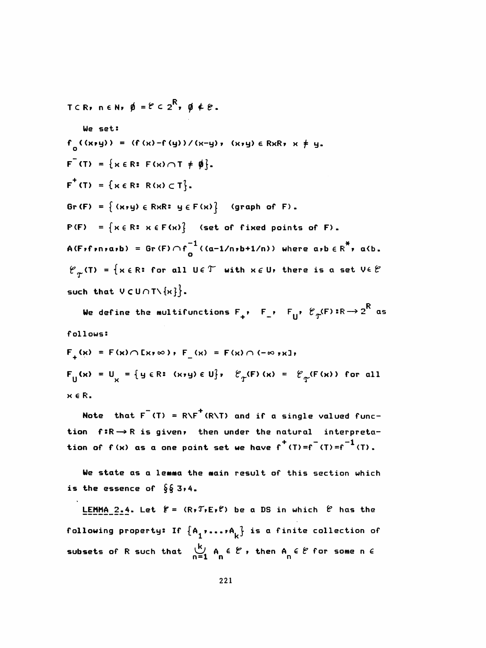\n
$$
T \subset R
$$
,  $n \in N$ ,  $\emptyset = \mathcal{C} \subset 2^R$ ,  $\emptyset \notin \mathcal{C}$ .\n

\n\n $\text{We set:}$ \n

\n\n $f_0((x \cdot y)) = (f(x) - f(y))/(x - y), (x \cdot y) \in RxR, x \neq y$ .\n

\n\n $F^*(T) = \{x \in R : F(x) \cap T \neq \emptyset\}$ .\n

\n\n $F^*(T) = \{x \in R : R(x) \subset T\}$ .\n

\n\n $Gr(F) = \{(x \cdot y) \in RxR : y \in F(x)\}$  (graph of F).\n

\n\n $P(F) = \{x \in R : x \in F(x)\}$  (set of fixed points of F).\n

\n\n $A(F_1 f_1, x) = \text{Gr}(F) \cap f_0^{-1}((a - 1/n + 1/n)) \text{ where } a \cdot b \in R^* \text{, } a \cdot b$ .\n

\n\n $\mathcal{C}_T(T) = \{x \in R : \text{for all } U \in T \text{ with } x \in U \text{ there is a set } V \in \mathcal{C} \text{ such that } V \subset U \cap T \setminus \{x\} \}$ .\n

We define the multifunctions  $F_+$ ,  $F_-$ ,  $F_{\parallel}$ ,  $\mathcal{C}_{\Upsilon}(F): R \rightarrow 2^{\overline{R}}$  as follows:

$$
F_{+}(x) = F(x) \cap [x \times \infty), F_{-}(x) = F(x) \cap (-\infty, x],
$$
  
\n
$$
F_{\parallel}(x) = U_{x} = \{y \in \mathbb{R} : (x \times y) \in U\}, \quad \mathcal{C}_{\uparrow}(F)(x) = \mathcal{C}_{\uparrow}(F(x)) \text{ for all}
$$
  
\n
$$
x \in \mathbb{R},
$$

Note that  $F^{-}(T) = R\backslash F^{+}(R\backslash T)$  and if a single valued function  $f:R \rightarrow R$  is given, then under the natural interpretation of  $f(x)$  as a one point set we have  $f^{+}(T) = f^{-}(T) = f^{-1}(T)$ .

We state as a lemma the main result of this section which is the essence of  $\S \S 3,4$ .

LEMMA 2.4. Let  $f = (R, T, E, f)$  be a DS in which  $\theta$  has the following property: If  $\{A_1, \ldots, A_k\}$  is a finite collection of subsets of R such that  $\bigcup_{n=1}^{k} A_n \in \mathcal{C}$ , then  $A_n \in \mathcal{C}$  for some n  $\in$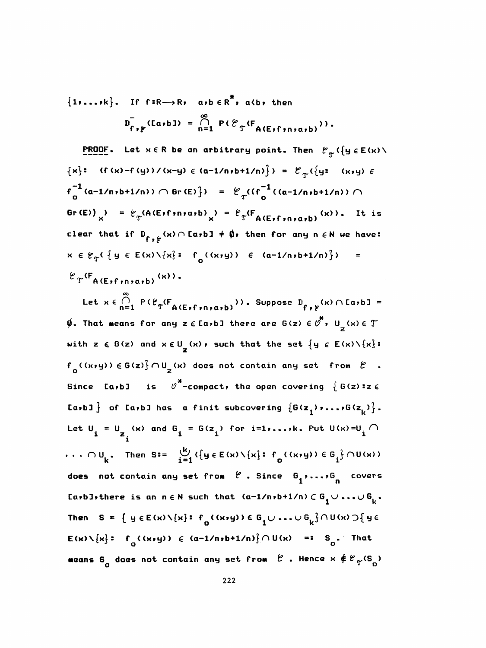${1, \ldots, k}$ . If  $f: R \rightarrow R$ ,  $a,b \in R^*$ ,  $a \& b$ , then  $D_{f,f}^{-}$ (LarbJ) =  $\bigcap_{n=1}^{\infty} P(\mathcal{E}_{f}(F_{A(F,f,n,n,n),h}))$ .

**PROOF.** Let  $x \in R$  be an arbitrary point. Then  $\ell_{\pi}(\{y \in E(x) \setminus$  ${x}$ : (f(x)-f(y))/(x-y)  $\in$  (a-1/n,b+1/n)}) =  $\mathcal{E}_{T}$ ({y: (x,y)  $\in$  $f_{n}^{-1}(a-1/n,b+1/n)$  )  $\cap$  Gr (E)  $\}$  =  $\mathcal{C}_{T}(f_{n}^{-1}((a-1/n,b+1/n)) \cap$ Gr(E))  $\mu$  =  $\ell_{\gamma}$ (A(E)f)niaib) =  $\ell_{\gamma}$ (F<sub>A(E)f)niaib</sub>) (x)). It is clear that if  $D_{f \ast f}(x) \cap \text{[a,b]} \neq \emptyset$ , then for any n  $\in \mathbb{N}$  we have:  $x \in \mathcal{C}_{\mathcal{T}}( \{ y \in E(x) \setminus \{x\} : f_{0}((x, y)) \in (a-1/n, b+1/n) \})$  $\blacksquare$  $\mathcal{E}_{\Upsilon}(\mathsf{F}_{\Delta(\mathsf{E}+\mathsf{f}+\mathsf{n}+\mathsf{a},\mathsf{b})}(\mathsf{x})).$ 

Let  $x \in \bigcap_{n=1}^{\infty} F(\mathcal{E}_{T}(\mathbb{F}_{A(E_{F}f,n\mid a,b)})))$ . Suppose  $D_{f,f}(x) \cap [a,b] =$  $\emptyset$ . That means for any z  $\in$  [a,b] there are G(z)  $\in \overline{\mathcal{O}}$ , U<sub>z</sub>(x)  $\in \mathcal{T}$ with  $z \in G(z)$  and  $x \in U_{\frac{1}{2}}(x)$ , such that the set  $\{y \in E(x) \setminus \{x\}$ :  $f_{n}(\kappa, y) \in G(z) \cap U_{n}(x)$  does not contain any set from  $\ell$ . is  $\theta^*$ -compact, the open covering  $\{ G(z) : z \in$ Since [a,b] La,b]  $\int$  of La,b] has a finit subcovering  $\{G(z_1)$ ,...,G $(z_k)$ . Let  $U_i = U_{Z_i}(x)$  and  $G_i = G(z_i)$  for i=1,...,k. Put  $U(x) = U_i$  $\cdots$  ou<sub>k</sub>. Then S:=  $\frac{16}{121}$  ({y  $\in E(x) \setminus \{x\}$ : f<sub>o</sub>((x,y))  $\in G_j$ }  $\cap U(x)$ ) does not contain any set from  $\ell$  . Since  $G_1$ ,...,  $G_n$  covers La,b], there is an  $n \in \mathbb{N}$  such that  $(a-1/n, b+1/n) \in G_{\frac{1}{2}} \cup ... \cup G_{\frac{1}{k}}$ . Then  $S = \{ y \in E(x) \setminus \{x\} : f_0(x,y) \in G_1 \cup ... \cup G_k \} \cap U(x) \supseteq \{y \in E(x) \setminus \{x\} : f_0(x,y) \in G_1 \cup ... \cup G_k \}$  $E(x)\setminus\{x\}$ :  $f_n(Gx,y)$ )  $\in$   $(a-1/n,b+1/n)\}\cap U(x)$  =:  $S_n$ . That means S<sub>o</sub> does not contain any set from  $e$  . Hence  $x \notin e_{\gamma}(s_{0})$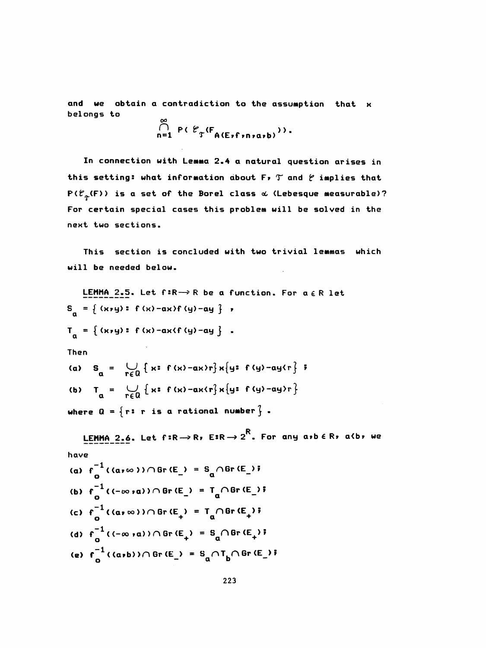and we obtain a contradiction to the assumption that x belongs to

$$
\bigcap_{n=1}^{\infty} P(E_{\mathcal{T}}(F_{A(E_{\mathcal{T}}f,n\mid\alpha,b)})),
$$

In connection with Lemma 2.4 a natural question arises in this setting: what information about F,  $T$  and  $\ell$  implies that  $P(\mathcal{C}_{\phi}(F))$  is a set of the Borel class  $\alpha$  (Lebesque measurable)? For certain special cases this problem will be solved in the next two sections.

 This section is concluded with two trivial lemmas which will be needed below.

LEMMA 2.5. Let  $f: R \rightarrow R$  be a function. For  $a \in R$  let { (x»y) s f (x) -ax>f <y) -ay } »  $T_{0} = \{ (x, y) : f(x) - ax \le f(y) - ay \}$ . <u>LEMMA 2.5</u>. Let f:R  $\rightarrow$  R be<br>  $a = \{ (x, y) : f(x) - ax \}$  (y) -ay ]<br>  $a = \{ (x, y) : f(x) - ax \}$  (y) -ay ]<br>
hen Then (a)  $S_n = \bigcup_{r \in D} \{x: f(x) - ax\}r\}x\{y: f(y) - ay\{r\}$ (b)  $T_a = \bigcup_{r \in Q} \{x : f(x)-ax\{r\}x\{y : f(y)-ay\}r\}$ where  $Q = \{r: r \text{ is a rational number } \}$ . LEMMA 2.6. Let f:R $\rightarrow$ R, E:R $\rightarrow$  2 $^{\textsf{K}}$ . For any a,b  $\epsilon$  R, a(b, we have (a)  $f^{-1}($  ( $a \rightarrow \infty$ ))  $\cap$  Gr (E\_) = S<sub>q</sub> $\cap$  Gr (E\_)  $\bar{r}$ MMA 2.6. Let f:R  $\rightarrow$  R, E<br>
-1<br>
o<br>
-1<br>
((-∞,a))∩ Gr (E ) = T where  $Q = \{r : r \text{ is a rational number }\}\.$ <br>
LEMMA 2.6. Let  $f: R \rightarrow R$ ,  $E: R \rightarrow 2^R$ . For any  $a:b \in R$ ,  $a(b)$  we<br>
nave<br>
(a)  $f_0^{-1}((a, \infty)) \cap Gr(E_-) = S_q \cap Gr(E_-)$ ;<br>
(b)  $f_0^{-1}((- \infty, a)) \cap Gr(E_-) = T_q \cap Gr(E_-)$ ;<br>
(c)  $f_0^{-1}((a, \infty)) \cap Gr(E_+) = T_q \cap Gr(E_+)$ ;  $\begin{aligned} & \mathbf{C}^{-1} \left( \mathbf{a} \cdot \mathbf{\omega} \right) \leq \mathbf{0} \ \mathbf{0} \end{aligned}$ <br>  $\begin{aligned} & \mathbf{C}^{-1} \left( (-\mathbf{\omega} \cdot \mathbf{a}) \right) \cap \mathbf{0} \mathbf{r} \left( \mathbf{E} \right) = \mathbf{I}_{\mathbf{a}} \ \mathbf{0} \end{aligned}$ <br>  $\begin{aligned} & \mathbf{C}^{-1} \left( (-\mathbf{\omega} \cdot \mathbf{a}) \right) \cap \mathbf{0} \mathbf{r} \left( \mathbf{E} \right) = \mathbf{I$ where  $\Omega = \{\mathbf{r}: \mathbf{r} \text{ is a rational number }\}\.$ <br>
LEMMA 2.6. Let  $\mathbf{f}: \mathbb{R} \to \mathbb{R}, \ \mathbb{E}: \mathbb{R} \to 2^{\mathbb{R}}.$  For any a,b  $\epsilon \mathbb{R}, \ \alpha \langle \mathbf{b} \rangle$  we<br>
nave<br>
(a)  $\mathbf{f}_{0}^{-1}((\alpha \gamma \omega)) \cap \text{Gr}(\mathbb{E}_{-}) = \mathbb{S}_{0} \cap \text{Gr}(\mathbb{E}_{-})\}\.$ <br>
(b)  $\math$ (b)  $f_0^{-1}((-\infty, \alpha)) \cap \text{Gr} (E_+) = T_{\alpha} \cap \text{Gr} (E_+)$ <br>(c)  $f_0^{-1}((\alpha, \infty)) \cap \text{Gr} (E_+) = T_{\alpha} \cap \text{Gr} (E_+)$ (b)  $f_0^{-1}((-\infty, \infty)) \cap \text{Gr}(\mathbb{E}_1) = I_0/\text{Br}(\mathbb{E}_1)$ <br>
(c)  $f_0^{-1}((\alpha, \infty)) \cap \text{Gr}(\mathbb{E}_1) = I_0 \cap \text{Gr}(\mathbb{E}_1)$ <br>
(d)  $f_0^{-1}((- \infty, \infty)) \cap \text{Gr}(\mathbb{E}_1) = S_0 \cap \text{Gr}(\mathbb{E}_1)$ <br>  $= 1$ (d)  $f^{-1}_0((-\infty, \alpha)) \cap \text{Gr} (E_+) = S_0 \cap \text{Gr} (E_+)$ (e) f\_1((a+b)) $\cap$  Gr(E\_) = S  $\cap$ T<sub>h</sub> $\cap$  Gr(E\_) <sup>}</sup>  $G_0^{-1}$  ( (-∞ ,a) )  $\cap$  Gr (E<sub>+</sub>) = S<sub>a</sub> $\cap$  Gr (E<sub>+</sub>) ;<br>-1<br>o ((a,b) )  $\cap$  Gr (E<sub>-</sub>) = S<sub>a</sub> $\cap$ T<sub>b</sub> $\cap$  Gr (E<sub>-</sub>)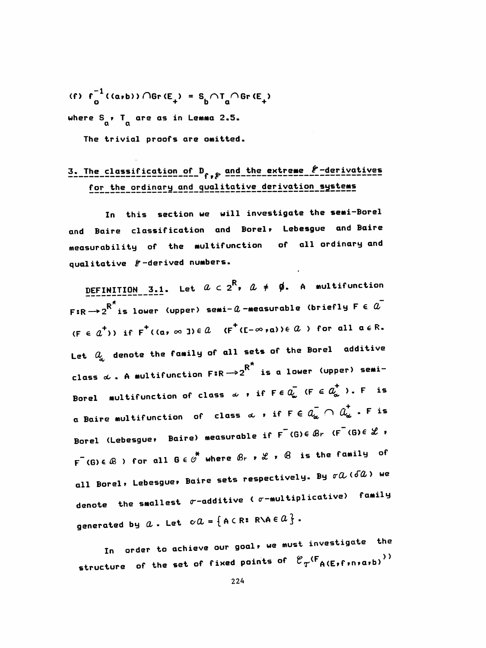(f)  $f_0^{-1}((a,b))$   $\bigcap$  Gr  $(E_+) = S_h \bigcap T_n \bigcap$  Gr  $(E_+)$ where  $S_{\alpha}$ , T are as in Lemma 2.5.

The trivial proofs are omitted.

## 3. The classification of D, e and the extreme  $f$ -derivatives for the ordinary and qualitative derivation systems

In this section we will investigate the semi-Borel and Baire classification and Borel, Lebesgue and Baire measurability of the multifunction of all ordinary and qualitative  $\varepsilon$ -derived numbers.

DEFINITION 3.1. Let  $a \in 2^R$ ,  $a \neq \emptyset$ . A multifunction F:R  $\rightarrow$  2  $^{\star}$  is lower (upper) semi-  $a$  -measurable (briefly F  $\in$   $a^{\top}$  $(F \in a^+)$  if  $F^+(a, \infty)$  ie a  $(F^+(E-\infty,a)) \in \mathcal{A}$  if  $\sigma$  all  $a \in \mathbb{R}$ . Let  $Q_{\!\omega}$  denote the family of all sets of the Borel additive class  $\alpha$  . A multifunction  $F:R\to 2^{R^*}$  is a lower (upper) semi-Borel multifunction of class  $\omega$  , if  $F \in \overline{Q_{\omega}}$  (F  $\in \overline{Q_{\omega}^{+}}$  ). F is a Baire multifunction of class  $\alpha$  , if  $F \in a_{\alpha}^-\cap a_{\alpha}^+$  . F is Borel (Lebesgue, Baire) measurable if  $F^-(G) \in \mathcal{B}_r$  ( $F^-(G) \in \mathcal{L}$ , F (G)  $\in$   $\mathbb{B}$  ) for all  $G \in \mathcal{O}^*$  where  $\mathcal{B}_r$  ,  $\mathcal{L}$  ,  $\mathcal{B}$  is the family of all Borel, Lebesgue, Baire sets respectively. By  $\sigma \alpha$  ( $\delta \alpha$ ) we denote the smallest  $\sigma$ -additive ( $\sigma$ -multiplicative) family generated by  $a$ . Let  $\circ a = \{ A \in \mathbb{R} : R \setminus A \in \mathcal{Q} \}$ .

In order to achieve our goal, we must investigate the structure of the set of fixed points of  $\mathcal{C}_{\textrm{T}}$ <sup>(F</sup>A(E,f,n,a,b)<sup>)</sup>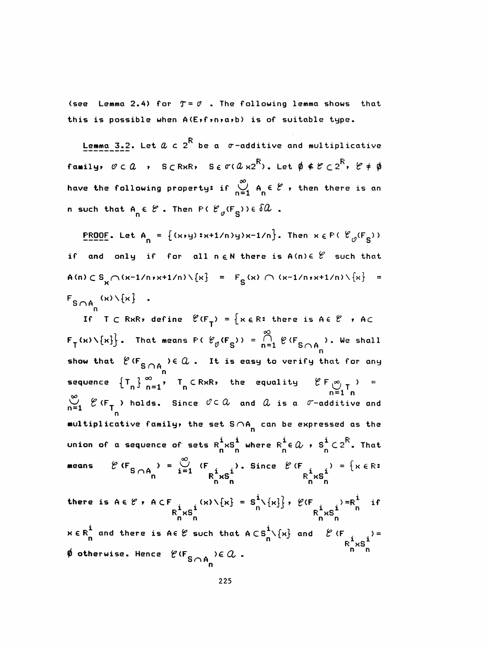(see Lemma 2.4) for  $T = \emptyset$  . The following lemma shows that this is possible when A(Exfrnxarb) is of suitable type.

Lemma 3.2. Let  $a \in 2^R$  be a  $\sigma$ -additive and multiplicative family,  $\varnothing \subset \mathcal{Q}$  ,  $S \subset R \times R$ ,  $S \in \sigma(\mathcal{Q} \times 2^R)$ . Let  $\phi \notin \mathcal{C} \subset 2^R$ ,  $\varnothing \neq \phi$ have the following property: if  $\sum_{n=1}^{\infty} A_n \in \mathcal{E}$ , then there is an n such that  $A_n \in \mathcal{C}$ . Then  $F \in \mathcal{C}_g(F_{S})$ )  $\in \delta \mathcal{U}$ .

**PROOF.** Let A<sub>n</sub> = { $(x,y):x+1/n>yx-1/n$ }. Then  $x \in F$  ( $\mathcal{C}_0(F_S)$ ) if and only if for all  $n \in \mathbb{N}$  there is  $A(n) \in \mathcal{C}$  such that A(n)  $\subset S_{\kappa} \cap (x-1/n)x+1/n \setminus \{x\}$  =  $F_{S}(x) \cap (x-1/n)x+1/n \setminus \{x\}$  =  $F_{S \cap A}$  (x) \{x} .

If  $T \subset R \times R$ , define  $\mathcal{C}(F_T) = \{x \in R : \text{ there is } A \in \mathcal{C} \to AC \}$  $F_T(x) \setminus \{x\}$ . That means  $F \in \mathcal{C}_p(F_S)$ ) =  $\bigcap_{n=1}^{\infty} \mathcal{C}(F_{S \cap A_n})$ . We shall show that  $\ell$  (F<sub>S  $\cap$ A</sup>, )  $\in$   $\alpha$ . It is easy to verify that for any</sub> sequence  $\{T_n\}_{n=1}^{\infty}$ ,  $T_n \in R \times R$ , the equality  $\mathcal{C} F \underset{n=1}{\infty} T$ , =  $\sum_{n=1}^{\infty}$   $\ell$  (F<sub>T</sub>) holds. Since  $\ell \in \mathcal{A}$  and  $\ell$  is a  $\ell$ -additive and multiplicative family, the set  $S \cap A_n$  can be expressed as the union of a sequence of sets  $R_n^i \times S_n^i$  where  $R_n^i \in \Omega$  ,  $S_n^i \in 2^R$ . That  $\ell$  (F<sub>S  $\cap$ A<sub>n</sub></sub>) =  $\bigcup_{i=1}^{\infty}$  (F<sub>1</sub>). Since  $\ell$  (F<sub>1</sub>) = { $x \in \mathbb{R}$ <sup>1</sup><br> $R_{\infty}$ <sup>1</sup> $xS_{\infty}$ <sup>1</sup> means

there is  $A \in \mathcal{C}$ ,  $A \subset F$ <br> $R_X^i \times S_X^i$   $\{x\} \setminus \{x\} = S_n^i \setminus \{x\}$ ,  $\mathcal{C}(F)$   $\{x, s\} = R_n^i$  if  $x \in R_n^{\mathbf{i}}$  and there is  $A \in \mathcal{C}$  such that  $A \subset S_n^{\mathbf{i}} \setminus \{x\}$  and  $\mathcal{C} \subset R_n^{\mathbf{i}} \times S_n^{\mathbf{i}} = R_n^{\mathbf{i}} \times S_n^{\mathbf{i}}$  $\phi$  otherwise. Hence  $\ell$ <sup>(F</sup>So<sub>A</sub>) E  $Q$ .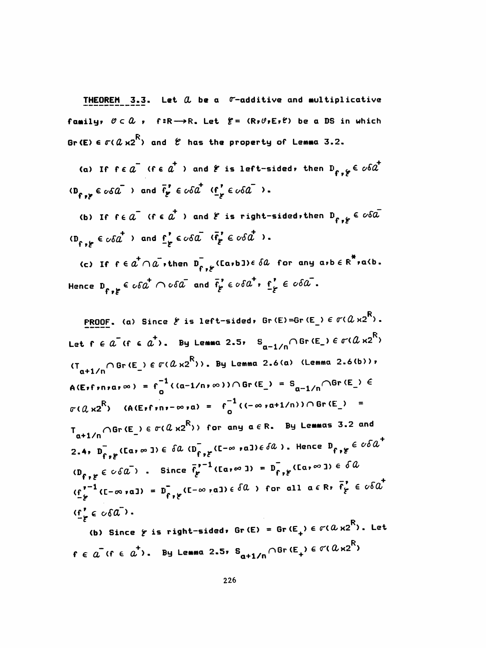**THEOREM** 3.3. Let  $\alpha$  be a  $\sigma$ -additive and multiplicative family,  $0 \subset \Omega$ , f:R->R. Let  $f = (R, \theta, E, f)$  be a DS in which Br (E)  $\epsilon \sigma$  (  $\alpha$  x2<sup>R</sup>) and  $\ell$  has the property of Lemma 3.2.

(a) If  $f \in a^-$  (fe  $a^+$  ) and  $f$  is left-sided, then  $D_{f \circ f} \in c6a^+$  $\overline{(\mathbf{B}_{f,k})^2} \in \sigma \delta \overline{a}$  ) and  $\overline{f}_{g}^* \in \sigma \delta \overline{a}^+$   $(\underline{f}_{g}^* \in \sigma \delta \overline{a}^-)$ .

(b) If  $f \in \overline{a}^-$  ( $f \in \overline{a}^+$ ) and  $\overline{e}$  is right-sided, then  $D_{f \circ f} \in \overline{co} \overline{a}^ (D_{\varepsilon}, \varepsilon \in \varepsilon \wedge \varepsilon \overline{a}^+)$  and  $\underline{\varepsilon}_{\varepsilon}^* \in \varepsilon \wedge \varepsilon \overline{a}$   $(\overline{\varepsilon}_{\varepsilon}^* \in \varepsilon \wedge \varepsilon \overline{a}^+)$ .

(c) If  $f \in a^+ \cap a$ , then  $D_{f,g}^-$  (Earb I)  $\in \delta a$  for any arb  $\in R^*$  ra(b. Hence  $D_{s}$   $\epsilon$   $\circ$   $\delta a^{\dagger}$   $\cap$   $\circ$   $\delta a^{\dagger}$  and  $\bar{f}_{g}$   $\epsilon$   $\circ$   $\delta a^{\dagger}$ ,  $f_{g}$   $\epsilon$   $\circ$   $\delta a^{\dagger}$ .

**PROOF.** (a) Since  $\xi$  is left-sided, Gr(E)=Gr(E\_)  $\epsilon$   $\sigma$ ( $\alpha$   $\kappa$ 2 $^{\sf R}$ ). Let  $f \in \tilde{a}$  if  $f \in \tilde{a}^+$ ). By Lemma 2.5,  $S_{a-1/n} \cap \text{Gr}(E_n) \in \sigma(\tilde{a} \times 2^R)$  $(T_{\text{at1}/\text{p}} \cap \text{Gr(E)} \in \sigma(\alpha \times 2^R))$ . By Lemma 2.6(a) (Lemma 2.6(b)),  $A(E_{1}f_{1}n_{1}a_{1}\infty) = f_{n}^{-1}((a-1/n_{1}\infty))\cap Gr(E_{n}) = S_{a-1/n}\cap Gr(E_{n}) \in$  $\sigma(Q \times 2^R)$  (A(Exfraction  $\sigma(Q \times 2^R)$ ) =  $f_{\alpha}^{-1}$  ((- $\infty$   $\sigma(1/n)$ )  $\cap$  Gr(E\_) =  $T_{\text{at1/0}}$  of (E\_)  $\in \sigma(\ell \times 2^R)$ ) for any  $\alpha \in R$ . By Lemmas 3.2 and 2.4,  $D_{f,f}^{-}$  (Ear  $\infty$  ))  $\in$   $\delta a$  ( $D_{f,f}^{-}$  (E- $\infty$  ral)  $\in$   $\delta a$  ). Hence  $D_{f,f}$   $\in$   $\in$   $\infty$  $a^{+}$  $(D_{f,g} \in c \cdot \delta \overline{a})$ . Since  $\overline{f}^{p-1}_f$  (Ear  $\infty$  )) =  $D_{f,g}$  (Ear  $\infty$  ))  $\in \delta \overline{a}$  $(\underline{f}^{r-1}_{k}(L-\infty,a)) = D_{\underline{f}^r,k}(L-\infty,a) \in \delta(a)$  for all  $a \in R$ ,  $\overline{f}^r_{k} \in \sigma \delta a^+$  $(\underline{f}^{\prime}_{\alpha} \in \alpha \delta \overline{a}^{\prime})$ . (b) Since  $\gamma$  is right-sided, Gr(E) = Gr(E<sub>+</sub>)  $\epsilon$   $\sigma$ ( $\alpha$   $\text{x2}^\text{R}$ ). Let

 $f \in a^-(f \in a^+)$ . By Lemma 2.5,  $S_{a+1/n} \cap$  Gr  $(E_+) \in \sigma(a \times 2^R)$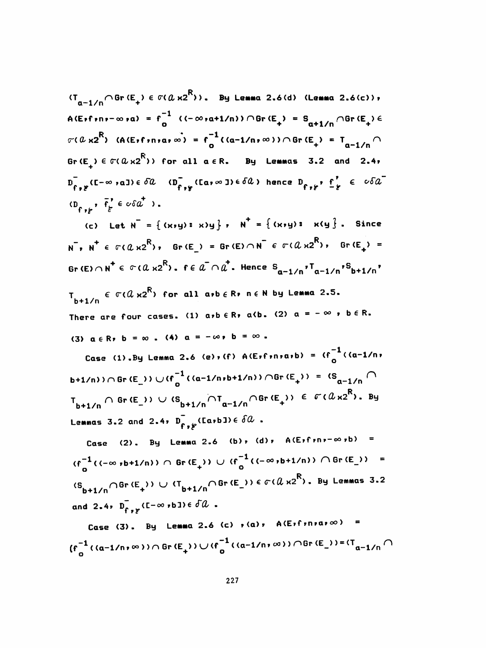$(T_{\alpha-1/n} \cap \text{Gr} \times E_+) \in \sigma(\alpha \times 2^R)$ ). By Lemma 2.6(d) (Lemma 2.6(c)),  $A(E_{1}f_{1}n_{1}-\infty n_{1}) = f_{0}^{-1} ((-\infty n_{1}1/n)) \cap \text{Gr}(E_{+}) = S_{n+1/n} \cap \text{Gr}(E_{+}) \in$  $\sigma(a \times 2^R)$  (A(Exfiniar  $\infty$ ) = f<sup>-1</sup>((a-1/n) $\infty$ ))  $\cap$  Gr(E<sub>+</sub>) = T<sub>n-1/n</sub> $\cap$ Gr(E<sub>1</sub>)  $\in \sigma(a \times 2^{\mathsf{R}})$ ) for all  $a \in \mathsf{R}$ . By Lemmas 3.2 and 2.4,  $D_{f,g}^{\dagger}(I-\infty)$  all  $\in \delta\mathcal{U}$  ( $D_{f,g}^{\dagger}(Ia,\infty)$ )  $\in \delta\mathcal{U}$ ) hence  $D_{f,g}$ ,  $\underline{f}_{g}^{\dagger} \in \circ \delta\mathcal{U}$  $(D_{f+1}, \bar{f}'_f \in \circ \delta a^+)$ .

(c) Let  $N = \{(x, y) : x\}$ ,  $N^+ = \{(x, y) : x\}$ . Since  $N^-, N^+ \in \sigma(Q \times 2^R)$ ,  $Gr(E) = Gr(E) \cap N^- \in \sigma(Q \times 2^R)$ ,  $Gr(E_+) =$ Gr (E)  $\cap$  N<sup>+</sup>  $\in$   $\sigma$  ( $a$   $\times$ 2<sup>R</sup>).  $f \in a^{-} \cap a^{+}$ . Hence  $S_{a-1/n}$ ,  $T_{a-1/n}$ ,  $S_{b+1/n}$ 

 $T_{h+1/n} \in \sigma(0 \times 2^R)$  for all arb  $\in R$ r n  $\in N$  by Lemma 2.5. There are four cases. (1) a,b  $\in$  R, a(b. (2)  $\alpha = -\infty$  , b  $\in$  R. (3)  $a \in R$ ,  $b = \infty$ . (4)  $a = -\infty$ ,  $b = \infty$ .

Case (1).By Lemma 2.6 (e), (f)  $A(E,f,n, a,b) = (f_1^{-1}(a-1/n,$ b+1/n))  $\cap$  Gr (E\_))  $\cup$  (f\_1 ((a-1/n,b+1/n))  $\cap$  Gr (E\_)) = (S\_1/n  $\cap$  $T_{b+1/n} \cap \text{Gr}(E_+)$   $\cup$   $(S_{b+1/n} \cap T_{a-1/n} \cap \text{Gr}(E_+)) \in \mathcal{F}(a_{X2}^R)$ . By Lemmas 3.2 and 2.4,  $\overline{D}_{f \bullet f}$  (Ea,b])  $\in \delta \mathcal{Q}$ .

Case (2). By Lemma 2.6 (b), (d),  $A(E,f;n,-\infty,b)$  =  $(f_0^{-1}((-\infty, b+1/n)) \cap \text{Gr}(\mathbb{E}_+)) \cup (f_0^{-1}((-\infty, b+1/n)) \cap \text{Gr}(\mathbb{E}_+)) =$  $(S_{b+1/n} \cap \text{Gr}(E_+)) \cup (T_{b+1/n} \cap \text{Gr}(E_-)) \in \sigma(Q \times 2^R)$ . By Lemmas 3.2 and 2.4,  $\overline{D}_{f,g}$  ( $I - \infty$ , b))  $\in \overline{\partial} \mathcal{U}$ .

Case (3). By Lemma 2.6 (c)  $r(a)$ , A(Eifiniaio) =  $(f_{\alpha}^{-1}((a-1/n,\infty))\cap \text{Gr} (E_{+}))\cup (f_{\alpha}^{-1}((a-1/n,\infty))\cap \text{Gr} (E_{-}))=(T_{a-1/n}\cap \text{Gr} (E_{-}))$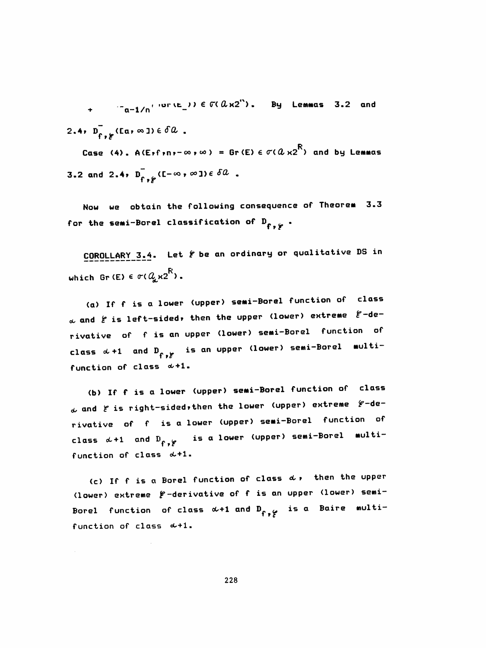$\frac{1}{2}$   $\frac{1}{2}$   $\frac{1}{2}$   $\frac{1}{2}$   $\frac{1}{2}$   $\frac{1}{2}$   $\frac{1}{2}$   $\frac{1}{2}$   $\frac{1}{2}$   $\frac{1}{2}$   $\frac{1}{2}$   $\frac{1}{2}$   $\frac{1}{2}$   $\frac{1}{2}$   $\frac{1}{2}$   $\frac{1}{2}$   $\frac{1}{2}$   $\frac{1}{2}$   $\frac{1}{2}$   $\frac{1}{2}$   $\frac{1}{2}$   $\frac{1}{2}$  2.4,  $D_{f,f}^{\dagger}(\mathfrak{a},\infty) \in \delta \mathcal{U}$ . Case (4). A(Exfrnx- $\infty$ ,  $\infty$ ) = Gr(E)  $\in \sigma$ ( $a$ x2<sup>R</sup>) and by Lemmas 3.2 and 2.4,  $\overline{D}_{f,f}^{\dagger}(I-\infty,\infty) \in \delta \mathcal{Q}$ .

Now we obtain the following consequence of Theorem 3.3 for the semi-Borel classification of  $D_{f, y}$ .

COROLLARY 3.4. Let  $f$  be an ordinary or qualitative DS in which Gr(E)  $\epsilon \sigma (Q_{\rm g} \kappa 2^{\rm R})$ .

(a) If f is a lower (upper) semi-Borel function of class  $\alpha$  and  $\beta$  is left-sided, then the upper (lower) extreme  $\beta$ -derivative of f is an upper (lower) semi-Borel function of class  $\alpha$ +1 and  $D_{f^*,f^*}$  is an upper (lower) semi-Borel multifunction of class  $\alpha+1$ .

(b) If f is a lower (upper) semi-Borel function of class  $\omega$  and  $\xi$  is right-sided, then the lower (upper) extreme  $\xi$ -derivative of f is a lower (upper) semi-Borel function of class  $\alpha+1$  and  $B_{f^*,f^*}$  is a lower (upper) semi-Borel multifunction of class  $\alpha+1$ .

(c) If f is a Borel function of class  $d$ , then the upper (lower) extreme  $f$ -derivative of f is an upper (lower) semi-Borel function of class  $\alpha+1$  and  $D_{f^*,f'}$  is a Baire multifunction of class  $\alpha+1$ .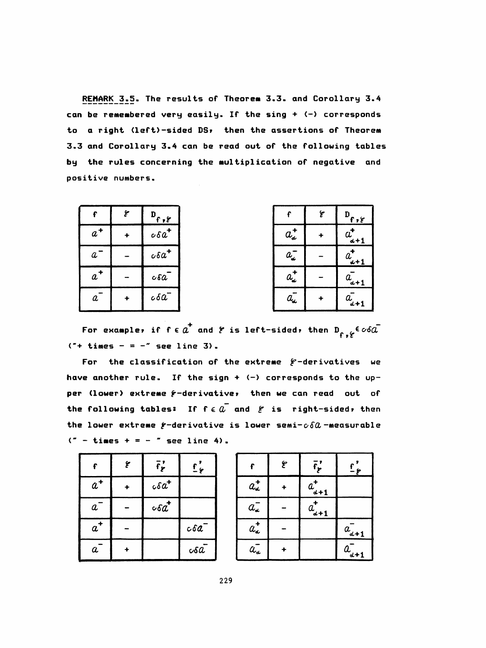REMARK 3.5. The results of Theorem 3.3. and Corollary 3.4 can be remembered very easily. If the sing + (-) corresponds to a right (left)-sided DS, then the assertions of Theorem 3.3 and Corollary 3.4 can be read out of the following tables by the rules concerning the multiplication of negative and positive numbers.

| f     | ع                    | $\frac{D_{f,f}}{f}$ |                                           | ع | $\mathbf{D}_{\mathbf{f},\mathbf{g}}$ |
|-------|----------------------|---------------------|-------------------------------------------|---|--------------------------------------|
| $a^+$ | +                    | $\cos a^+$          | $a_{d}^{\dagger}$                         |   | u<br>$d+1$                           |
| a     |                      | $\cos a^+$          | $a_{\!\scriptscriptstyle \pmb{\omega}}^-$ |   | $\frac{u}{\underline{u}+1}$          |
| $a^+$ |                      | $c\delta a$         | $a_{\!\scriptscriptstyle \pmb{\omega}}$   |   | $u_{d+1}$                            |
| a     | $\ddot{\phantom{1}}$ | $c\delta a$         | $a_{\!\star}$                             |   | $a_{d+1}$                            |

For example, if  $f \in a^+$  and  $f$  is left-sided, then  $D_{f, f} \in \infty$  $(* + \text{times} - = -" \text{ see line 3}).$ 

For the classification of the extreme  $f$ -derivatives we have another rule. If the sign +  $(-)$  corresponds to the upper (lower) extreme f-derivative, then we can read out of the following tables: If  $f \in \tilde{a}$  and  $f$  is right-sided, then the lower extreme  $f$ -derivative is lower semi- $c\delta a$ -measurable  $($ " - times + = - " see line 4).

| Ł                | ع | $\bar{f}'_{\ell}$     | $\sum_{i=1}^{n}$ |
|------------------|---|-----------------------|------------------|
| $a^+$            |   | $c\delta a^{\dagger}$ |                  |
| $\bm{a}^-$       |   | $c\delta a^*$         |                  |
| $a^+$            |   |                       | cc6a             |
| $\boldsymbol{a}$ |   |                       | $\circ$ sa       |

|                                                                                | ٦ | $\bar{f}'_{\bm{r}}$ | <u>ና'</u><br><u>– ዶ</u> |
|--------------------------------------------------------------------------------|---|---------------------|-------------------------|
| $a^+_{\bullet}$                                                                |   | $a_{d+1}^{\dagger}$ |                         |
| $a_{\scriptscriptstyle \bullet\hspace{-1pt}\bullet}^{\scriptscriptstyle \top}$ |   | $a_{d+1}$           |                         |
| $a^{\dagger}_{\alpha}$                                                         |   |                     | $a_{d+1}$               |
| $a_{\bullet}^-$                                                                |   |                     | $a_{d+1}$               |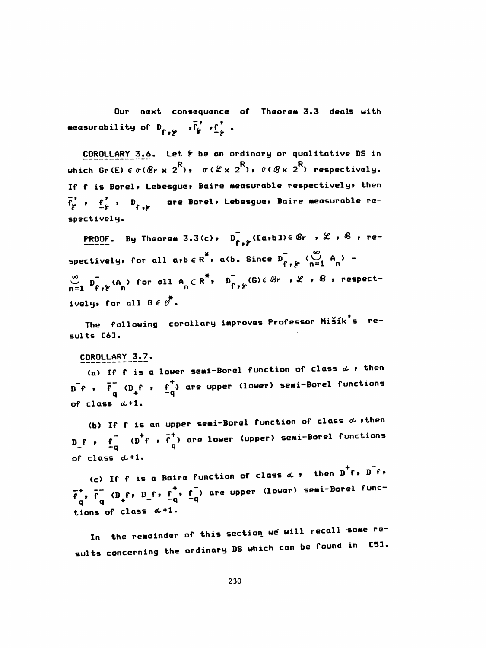Our next consequence of Theorem 3.3 deals with measurability of  $D_{f_1,f_2}$  ,  $\overline{f'_f}$  ,  $f'_2$  .

COROLLARY 3.6. Let  $f$  be an ordinary or qualitative DS in <u>COROLLARY 3.6</u>. Let  $\epsilon$  be an ordinary or qualitative DS in<br>which Gr(E)  $\epsilon \sigma$ ( $\theta$ r x 2<sup>R</sup>),  $\sigma$ ( $\alpha$  x 2<sup>R</sup>),  $\sigma$ ( $\theta$  x 2<sup>R</sup>) respectively. If f is Borei» Lebesgue» Baire Measurable respectively» then  $\overline{f}^{\prime}_{\overline{f}}$  ,  $\overline{f}^{\prime}_{\overline{f}}$  ,  $\overline{D}_{f}$  ,  $f$  are Borel, Lebesgue, Baire measurable respectively .

PROOF. By Theorem 3.3(c),  $D_{f,f}^{\top}$  (Ca,b3)e  $\theta$ r ,  $\mathscr L$  ,  $\theta$  , rec),  $D_{f,f}^-$  (Ea,bJ)e  $\theta$ r ,<br>\*, a(b. Since  $D_{f,f}^-$  ( $\sum_{n=1}^{\infty}$ spectively, for all  $a$ ,  $b \in R^*$ ,  $a$  (b. Since  $D_{f, g}$  ( $\bigcup_{n=1}^{\infty} A_n$ ) =  $\bigcup_{n=1}^{\infty}$   $D_{f}$ ,  $\beta$  (A ) for all  $A_n \subset R^*$ ,  $D_{f+p}$  (G)  $\in$  Br,  $\mathcal{L}$ ,  $\beta$ , respectively, for all  $0 \in \emptyset^*$ .

The following corollary improves Professor Mišík's results C63.

#### COROLLARY 3.7.

(a) If f is a lower semi-Borel function of class  $d$  , then ,  $\overline{f}^-(D_f f + f^+)$  are upper (lower) semi-Borel functions<br>q +  $\overline{f}^-(Q_f f + f^+)$ of class oL+l.

(b) If f is an upper semi-Borel function of class  $\alpha$  , then  $D_f$  ,  $F = (D^+f + F^+)$  are lower (upper) semi-Borel functions<br>
of close  $d + 1$ . of class  $d+1$ .

(c) If f is a Baire function of class  $d \cdot$  then  $D^+f \cdot D^-f \cdot$  $\overline{f}^+$ ,  $\overline{f}^-$  (D f, D f,  $\overline{f}^-$ ,  $\overline{f}^-$ ) are upper (lower) semi-Borei func-<br>q q q  $\overline{f}$ tions of class  $\alpha+1$ 

In the remainder of this section we will recall some results concerning the ordinary DS which can be found in [5].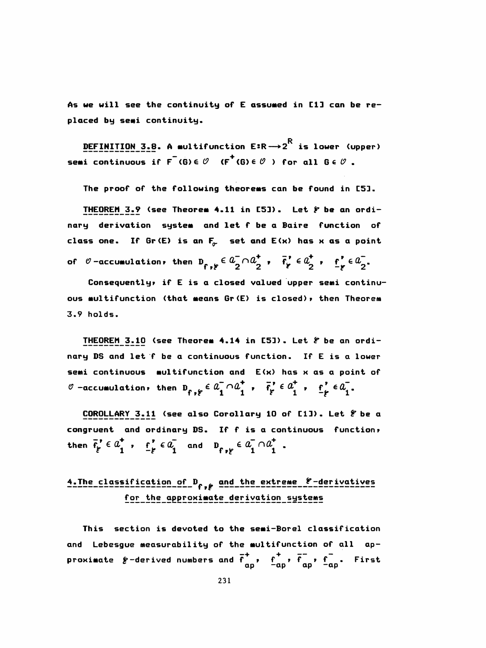As we will see the continuity of E assumed in [1] can be replaced by semi continuity.

DEFINITION 3.8. A multifunction  $E:R \longrightarrow 2^R$  is lower (upper) semi continuous if  $F^-(G) \in \mathcal{O}$  ( $F^+(G) \in \mathcal{O}$ ) for all  $G \in \mathcal{O}$ .

The proof of the following theorems can be found in [5].

THEOREM 3.9 (see Theorem 4.11 in [5]). Let  $f$  be an ordinary derivation system and let f be a Baire function of class one. If Gr(E) is an  $F_{\sigma}$  set and E(x) has x as a point of  $\theta$ -accumulation, then  $D_{f,g} \in a_{\overline{2}}^- \cap a_{\overline{2}}^+$ ,  $\overline{f}_{g}^* \in a_{\overline{2}}^+$ ,  $\underline{f}_{g}^* \in a_{\overline{2}}^-$ .

Consequently, if E is a closed valued upper semi continuous multifunction (that means Gr(E) is closed), then Theorem  $3.9$  holds.

THEOREM 3.10 (see Theorem 4.14 in [5]). Let  $\varepsilon$  be an ordinary DS and let f be a continuous function. If E is a lower semi continuous multifunction and E(x) has x as a point of  $\mathscr{O}$  -accumulation, then  $D_{f, f} \in \mathscr{L}_1 \cap \mathscr{L}_1^+$ ,  $\bar{f}_f' \in \mathscr{L}_1^+$ ,  $f'_f \in \mathscr{L}_1^-$ .

COROLLARY 3.11 (see also Corollary 10 of [1]). Let & be a congruent and ordinary DS. If f is a continuous function, then  $\overline{f'_p} \in a_1^+$ ,  $\underline{f'_p} \in a_1^-$  and  $D_{f_{p,p}} \in a_1^- \cap a_1^+$ .

### 4. The classification of D<sub>f, p</sub> and the extreme f-derivatives for the approximate derivation systems

This section is devoted to the semi-Borel classification and Lebesgue measurability of the multifunction of all approximate  $\ell$ -derived numbers and  $\bar{f}_{\alpha}^+$ ,  $f_{\alpha}^+$ ,  $\bar{f}_{\alpha}^-$ ,  $f_{\alpha}^-$ . First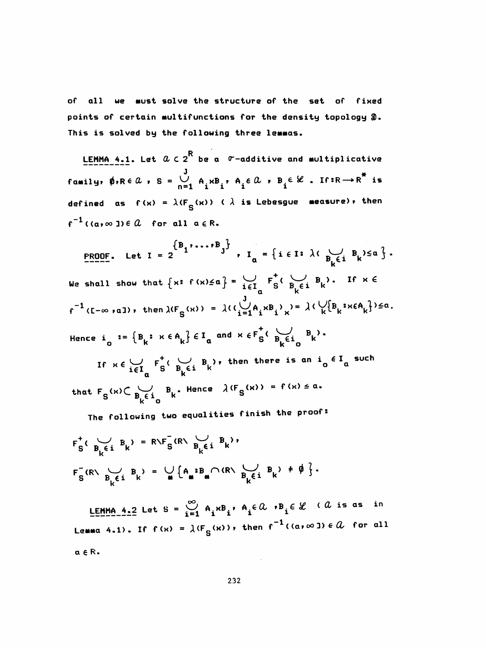all we must solve the structure of the set of fixed of points of certain multifunctions for the density topology 2. This is solved by the following three lemmas.

LEMMA 4.1. Let  $a \in 2^R$  be a  $\sigma$ -additive and multiplicative family,  $\phi$ ,  $Re\ \theta$ ,  $S = \bigcup_{n=1}^{J} A_i x B_i$ ,  $A_i \epsilon \alpha$ ,  $B_i \epsilon \mathcal{L}$ . If: $R \rightarrow R^*$  is defined as  $f(x) = \lambda(F_{g}(x))$  ( $\lambda$  is Lebesgue measure), then  $f^{-1}((a, \infty)) \in \mathcal{Q}$  for all  $a \in \mathbb{R}$ .

PROOF. Let  $I = 2$   $\begin{cases} B_1 \cdot \cdot \cdot \cdot B_J \\ B_K \in I \end{cases}$ ,  $I_a = \{ i \in I : \lambda \in \bigcup_{B_k \in I} B_k \} \le a \}$ . We shall show that  $\{x: f(x) \le a\} = \bigcup_{i \in I} F_S^{\dagger}(\bigcup_{B_i \in i} B_i)$ . If  $x \in$  $f^{-1}(I-\infty, a])$ , then  $\lambda(F_S(x)) = \lambda((\bigcup_{i=1}^J A_i x B_i)_{x}) = \lambda(\bigvee_k \{B_k : x \in A_k\}) \le a$ . Hence  $i_{\alpha} := \{B_{k} : x \in A_{k}\} \in I_{\alpha}$  and  $x \in F_{S}^{+}(\bigcup_{B_{k} \in I_{\alpha}} B_{k})$ . If  $x \in \bigcup_{i \in I_n} F_i^{\dagger}(\bigcup_{B_i \in i} B_i)$ , then there is an  $i_0 \in I_a$  such that  $F_S(x) \subset \bigcup_{B_k \in I_n} B_k$ . Hence  $\lambda(F_S(x)) = f(x) \le a$ .

The following two equalities finish the proof:

$$
F_S^+(B_k^{\text{cl}}B_k) = R\backslash F_S^-(R\backslash B_k^{\text{cl}}B_k),
$$
  

$$
F_S^-(R\backslash B_k^{\text{cl}}B_k) = \bigcup_{\mathbf{m}} \{A_{\mathbf{m}}^B B_{\mathbf{m}} \cap (R\backslash B_k^{\text{cl}}B_k) \neq \emptyset \}.
$$

LEMMA 4.2 Let S =  $\bigcup_{i=1}^{\infty} A_i \times B_i$ ,  $A_i \in \mathcal{Q}$ ,  $B_i \in \mathcal{L}$  (  $\mathcal{Q}$  is as in Lemma 4.1). If  $f(x) = \lambda(F_g(x))$ , then  $f^{-1}((a, \infty)) \in \mathcal{U}$  for all  $a \in R$ .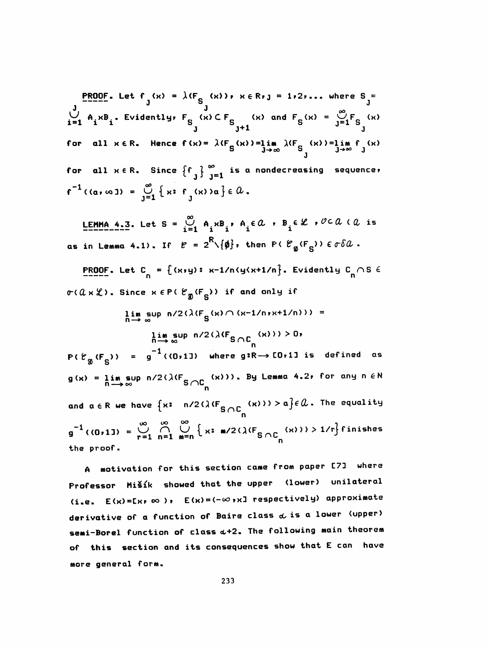**PROOF.** Let  $f(x) = \lambda (F_{S_1}(x))$ ,  $x \in R_1$  = 1, 2,... where  $S_j =$  $\bigcup_{i=1}^{J} A_i \times B_i$ . Evidently,  $F_S$  (x)  $CF_S$  (x) and  $F_S$  (x) =  $\bigcup_{j=1}^{\infty} F_S$  (x) for all  $x \in R$ . Hence  $f(x) = \lambda (F_S(x)) = \lim_{J \to \infty} \lambda (F_{S_J}(x)) = \lim_{J \to \infty} f_S(x)$ for all  $x \in R$ . Since  $\{f_{\overline{1}}\}_{\overline{1}=1}^{\infty}$  is a nondecreasing sequence,  $f^{-1}(\alpha, \infty) = \bigcup_{i=1}^{\infty} \{x : f(x) \geq \alpha\} \in \Omega.$ 

LEMMA 4.3. Let S =  $\bigcup_{i=1}^{\infty} A_i x B_i$ ,  $A_i \in \mathcal{Q}$ ,  $B_i \in \mathcal{L}$ ,  $\mathcal{O} \subset \mathcal{Q}$  ( $\mathcal{Q}$  is as in Lemma 4.1). If  $e = 2^R \setminus \{\phi\}$ , then P( $e_{\phi}(F_{S})$ )  $\epsilon \sigma \delta \alpha$ .

**PROOF.** Let C<sub>n</sub> = {(x,y): x-1/n(y(x+1/n}. Evidently C<sub>n</sub>  $\cap$  S  $\in$  $\sigma$ ( $a \times \mathcal{L}$ ). Since  $x \in P$ ( $\mathcal{C}_{\mathfrak{g}}(F_{\mathbf{S}})$ ) if and only if

$$
\lim_{n \to \infty} \sup_{\infty} n/2(\lambda(F_S(x) \cap (x-1/n, x+1/n))) =
$$

 $\lim_{n\to\infty} \sup_{\infty} n/2(\lambda(F_{S\cap C_{n}}(x))) > 0.$  $P(E_{g_1}(F_{g_2})) = g^{-1}((0,11))$  where g:R  $\rightarrow$  [0,1] is defined as  $g(x) = \lim_{n \to \infty} \sup_{n} n/2(\lambda(F_{S \cap C_{n}}(x)))$ . By Lemma 4.2, for any  $n \in \mathbb{N}$ and  $a \in R$  we have  $\{x: n/2(\lambda(F_{S \cap C_{n}}(x))) > a\} \in \mathcal{U}$ . The equality  $g^{-1}$  ((0,11) =  $\bigcup_{r=1}^{\infty} \bigcap_{n=1}^{\infty} \bigcup_{m=n}^{\infty} \left\{ x: \mathbf{m}/2(\lambda(F_{S \cap C}(\mathbf{x}))) > 1/r \right\}$  finishes the proof.

A motivation for this section came from paper [7] where Professor Mišík showed that the upper (lower) unilateral (i.e.  $E(x) = E(x) \infty$ ),  $E(x) = (-\infty, x]$  respectively) approximate derivative of a function of Baire class  $d$  is a lower (upper) semi-Borel function of class  $\omega+2$ . The following main theorem of this section and its consequences show that E can have more general form.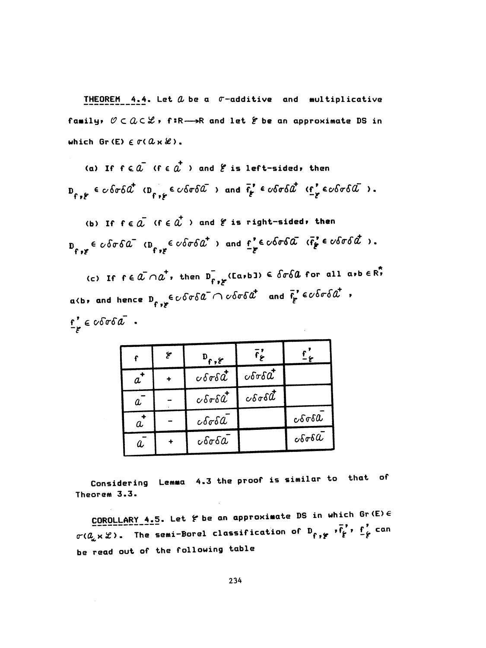THEOREM 4.4. Let  $a$  be a  $\sigma$ -additive and multiplicative family,  $O \subset Q \subset \mathcal{L}$ , f:R->R and let  $\epsilon$  be an approximate DS in which Gr(E)  $\in \sigma(\mathcal{U} \times \mathcal{L})$ .

(a) If  $f \in \tilde{a}$  ( $f \in \tilde{a}^+$ ) and  $\ell$  is left-sided, then  $D_{f \circ f} \in \text{cofof} \hat{a}^{\dagger} \text{ (} D_{f \circ f} \in \text{cofof} \hat{a} \text{ ) and } \bar{f}_{f} \in \text{cofof} \hat{a}^{\dagger} \text{ (} \bar{f}_{f} \in \text{cofof} \hat{a} \text{ )}.$ 

(b) If  $f \in \tilde{a}$  ( $f \in \tilde{a}$ ) and  $f$  is right-sided, then  $D_{f,g} \in \text{cof} \text{a}^{-1}$   $(D_{f,g} \in \text{cof} \text{a}^{-1})$  and  $\underline{f}^{e} \in \text{cof} \text{a} \text{a}^{-1}$   $(\overline{f}^{e}_{g} \in \text{cof} \text{a} \text{a}^{-1})$ .

(c) If  $f \in \tilde{a} \cap \tilde{a}^*$ , then  $D_{f \circ f}$  (Ea,b))  $\in$   $\delta \sigma \delta a$  for all a,b  $\in \tilde{R}^*$ a(b, and hence  $D_{f \ast F} \in \mathcal{C}$  of  $\mathcal{C}$  of  $\mathcal{C}$  and  $\bar{f}_f' \in \mathcal{C}$  of  $\mathcal{C}$  ,  $f'_{\epsilon}$   $\epsilon$   $\epsilon$   $\delta$ σ $\delta$  $\alpha$  .

|                  | عخ | $D_{f,\epsilon}$                    | $\overline{\mathbf{f}}$                   |                              |
|------------------|----|-------------------------------------|-------------------------------------------|------------------------------|
| $a^*$            |    | $\cos\delta t$                      | $\epsilon$ $\delta \sigma \delta \vec{a}$ |                              |
| $\boldsymbol{a}$ |    | $c\delta\sigma\delta d$             | $\cos\delta t$                            |                              |
| $\vec{a}$        |    | $c\delta\sigma\delta\mathcal{L}$    |                                           | $c\delta\sigma\delta\alpha$  |
| $\boldsymbol{a}$ |    | $\epsilon$ $\delta \sigma \delta a$ |                                           | $c\delta\sigma\delta\bar{a}$ |

Considering Lemma 4.3 the proof is similar to that of Theorem 3.3.

COROLLARY 4.5. Let  $f$  be an approximate DS in which Gr (E)  $\epsilon$  $\sigma$ ( $a$ <sub>a</sub> x  $x$ ). The semi-Borel classification of  $D_{f,f}$  ,  $\overline{f}_{f}^{f}$ ,  $\underline{f}_{f}^{f}$  can be read out of the following table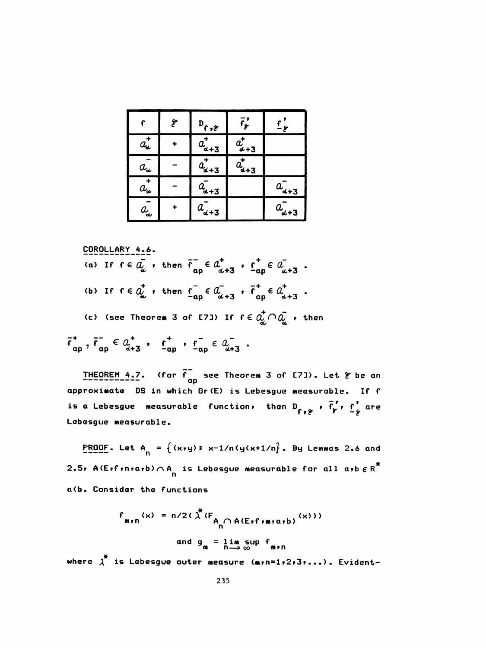|                                       | ع | $D_{f,\xi}$    | $\bar{\mathsf{f}}_{\bm{f}}$ | $\mathbf{f}_{\epsilon}$ |
|---------------------------------------|---|----------------|-----------------------------|-------------------------|
| $a^{\texttt{+}}_{\texttt{d}}$         |   | $a_{a+3}$      | $a_{\alpha+3}^{\dagger}$    |                         |
| $a_{\scriptscriptstyle \pmb{\omega}}$ |   | $a_{\alpha+3}$ | $a_{d+3}$                   |                         |
| $a_{\bullet}^{\dagger}$               |   | $a_{d+3}$      |                             | $a_{d+3}$               |
| $a$ j                                 |   | $a_{d+3}$      |                             | $a_{d+3}$               |

COROLLARY 4.6.  
\n(a) If 
$$
f \in \overline{Q}_{\alpha}
$$
, then  $f_{ap} \in \overline{Q}_{\alpha+3}^+$ ,  $f_{ap} \in \overline{Q}_{\alpha+3}^-$ .  
\n(b) If  $f \in \overline{Q}_{\alpha}^+$ , then  $f_{ap} = \overline{Q}_{\alpha+3}^-$ ,  $f_{ap}^+ \in \overline{Q}_{\alpha+3}^+$ .  
\n(c) (see Theorem 3 of [73]) If  $f \in \overline{Q}_{\alpha}^+ \cap \overline{Q}_{\alpha}^-$ , then  $f_{ap}^-$ ,  $f_{ap}^- \in \overline{Q}_{\alpha+3}^+$ ,  $f_{ap}^+ \in \overline{Q}_{\alpha+3}^-$ .

**THEOREM 4.7.** (for  $\overline{f}$  see Theorem 3 of [7]). Let  $\epsilon$  be an approximate DS in which Gr(E) is Lebesgue measurable. If f is a Lebesgue measurable function, then D<sub>f,  $\frac{1}{2}$ </sub>,  $\frac{1}{2}$ ,  $\frac{1}{2}$  are Lebesgue measurable.

**PROOF.** Let  $A_n = \{ (x,y) : x-1/n \leq x+1/n \}$ . By Lemmas 2.6 and 2.5, A(E,f,n,a,b) $\bigcap_{n=1}^{\infty} A_n$  is Lebesgue measurable for all a,b  $\in R^*$ a(b. Consider the functions

> $f_{m,n}(x) = n/2(\lambda^*(F_{A_n \cap A(E+f+m \cdot a+b)}(x)))$ and  $g_m = \lim_{n \to \infty} \sup f_{m \cdot n}$

where  $\lambda^*$  is Lebesgue outer measure (m,n=1,2,3,...). Evident-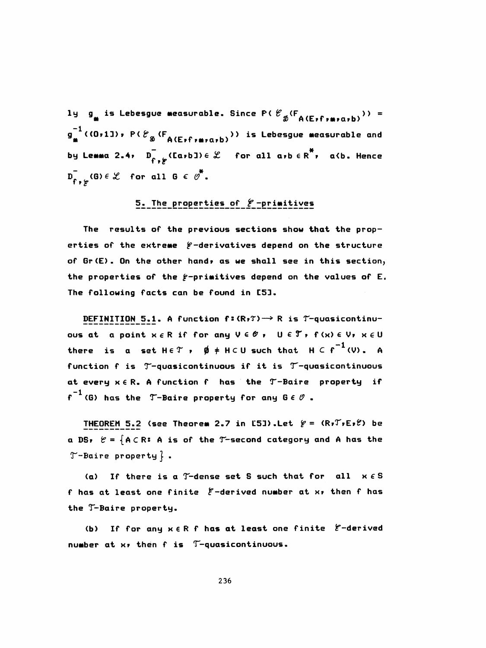1y  $g_{\mu}$  is Lebesgue measurable. Since P( $\ell_{\mathcal{B}}(F_{\mathcal{A}}(E_{\nu}f_{\nu\mu\nu\alpha\nu}b))$  =  $g_{\underline{u}}^{-1}$  ((0,1]), P( $\mathcal{C}_{\mathfrak{D}}$  (F<sub>A(E,f,m,a,b)</sub>)) is Lebesgue measurable and by Lemma 2.4,  $D_{f^*,f^*}^T$ (Ea,bJ)  $\in \mathcal{L}$  for all a,b  $\in R^*$ , a(b. Hence  $D_{f_{\bullet},\varphi}^{\dagger}(G) \in \mathcal{L}$  for all  $G \in \varnothing^*$ .

### 5. The properties of *E*-primitives

The results of the previous sections show that the properties of the extreme  $f$ -derivatives depend on the structure of Gr(E). On the other hand, as we shall see in this section, the properties of the  $f$ -primitives depend on the values of E. The following facts can be found in [5].

DEFINITION 5.1. A function  $f:(R,T)\longrightarrow R$  is  $T-quasicontinu$ ous at a point  $x \in R$  if for any  $V \in \mathscr{O}$ ,  $U \in \mathscr{T}$ ,  $f(x) \in V$ ,  $x \in U$ there is a set  $H \in \mathcal{T}$  ,  $\emptyset$   $\neq$   $H \subset U$  such that  $H \subset f^{-1}(V)$ . A function f is T-quasicontinuous if it is T-quasicontinuous at every  $x \in R$ . A function f has the T-Baire property if  $f^{-1}$  (6) has the T-Baire property for any  $0 \in \mathcal{O}$ .

THEOREM 5.2 (see Theorem 2.7 in E51).Let  $f = (R_7T_7E_7f)$  be a DS,  $e = \{A \subset R: A \text{ is of the T-second category and A has the } \}$  $T$ -Baire property  $}$ .

(a) If there is a  $T$ -dense set S such that for all  $x \in S$ f has at least one finite  $\xi$ -derived number at x, then f has the T-Baire property.

If for any x ER f has at least one finite E-derived  $(b)$ number at x, then f is T-quasicontinuous.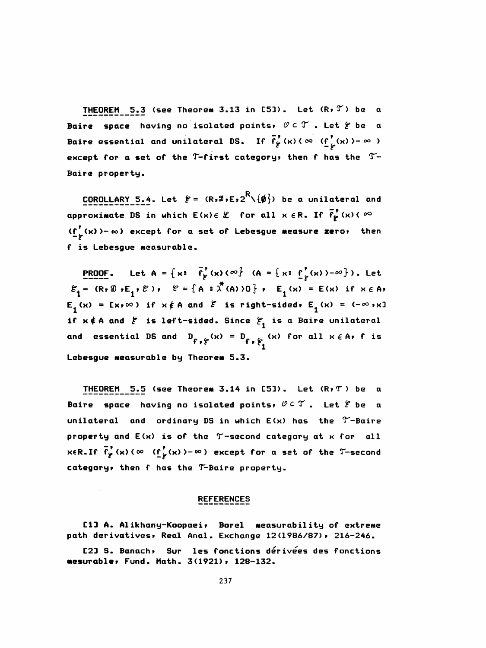THEOREM 5.3 (see Theorem 3.13 in [5]). Let  $(R, T)$  be a Baire space having no isolated points,  $\mathscr{O} \subset \mathscr{T}$  . Let  $\mathscr{C}$  be a Baire essential and unilateral DS. If  $\overline{f}'_{\mathbf{y}}(x)(\infty \text{ (f }_{\mathbf{y}}^{'}(x)) - \infty )$ except for a set of the  $T$ -first category, then f has the  $T-$ Baire property.

**COROLLARY 5.4. Let**  $\mathcal{E} = (R \cdot \mathcal{I} \cdot E \cdot 2^R \setminus \{\phi\})$  be a unilateral and approximate DS in which  $E(x) \in \mathcal{L}$  for all  $x \in R$ . If  $\overline{f'_\mathbf{f}}(x) \leftarrow \infty$  $(f^{\prime}_{\epsilon}(x))$  -  $\infty$ ) except for a set of Lebesgue measure zero, then f is Lebesgue measurable.

**PROOF.** Let  $A = \{x: \overrightarrow{f}_p(x) \times \infty\}$  ( $A = \{x: \underline{f}_p(x) \times \infty\}$ ). Let  $\varepsilon_1 =$  (R, S  $\overline{E}_1$ ,  $\ell$ ),  $\ell = {\mathbb{A} : \lambda^*(A) > 0}$ ,  $\varepsilon = \{x : E_1(x) = E(x) \text{ if } x \in A\}$  $E_j(x) = Ex_r \infty$ ) if  $x \notin A$  and  $\mathcal E$  is right-sided,  $E_j(x) = (-\infty, x]$ if  $x \notin A$  and  $\xi$  is left-sided. Since  $\xi_1$  is a Baire unilateral and essential DS and  $D_{f,f}(\alpha) = D_{f,f}(\alpha)$  for all  $\alpha \in A$ , f is Lebesgue measurable by Theorem 5.3.

THEOREM 5.5 (see Theorem 3.14 in [5]). Let (R,T) be a Baire space having no isolated points,  $OCX$ . Let  $E$  be a unilateral and ordinary DS in which  $E(x)$  has the  $Y-Baire$  property and E(x) is of the T-second category at x for all  $x \in R$ . If  $\overline{f'_p}$  (x)  $\langle \infty \rangle$  (f  $\overline{f'_p}$  (x)  $\rangle - \infty$ ) except for a set of the T-second categoryr then f has the T^-Baire property.

#### REFERENCES

C1J A. Alikhany-Koopaei, Borel measurability of extreme path derivatives, Real Anal. Exchange 12(1986/87), 216-246.

 C23 S. Banach r Sur les fonctions derivees des fonctions mesurabler Fund. Hath. 3(1921) r 128-132.